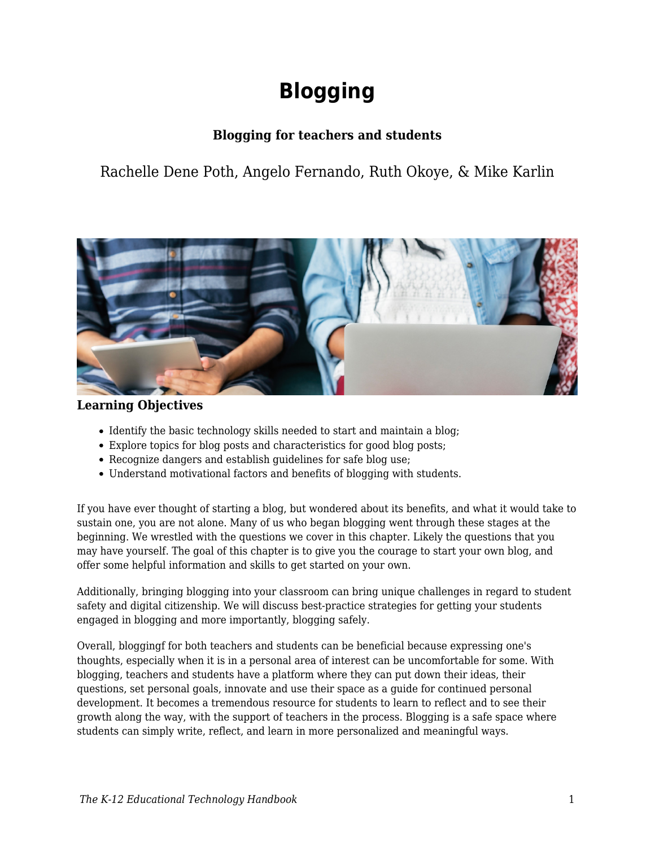# **Blogging**

## **Blogging for teachers and students**

Rachelle Dene Poth, Angelo Fernando, Ruth Okoye, & Mike Karlin



## **Learning Objectives**

- Identify the basic technology skills needed to start and maintain a blog;
- Explore topics for blog posts and characteristics for good blog posts;
- Recognize dangers and establish guidelines for safe blog use;
- Understand motivational factors and benefits of blogging with students.

If you have ever thought of starting a blog, but wondered about its benefits, and what it would take to sustain one, you are not alone. Many of us who began blogging went through these stages at the beginning. We wrestled with the questions we cover in this chapter. Likely the questions that you may have yourself. The goal of this chapter is to give you the courage to start your own blog, and offer some helpful information and skills to get started on your own.

Additionally, bringing blogging into your classroom can bring unique challenges in regard to student safety and digital citizenship. We will discuss best-practice strategies for getting your students engaged in blogging and more importantly, blogging safely.

Overall, bloggingf for both teachers and students can be beneficial because expressing one's thoughts, especially when it is in a personal area of interest can be uncomfortable for some. With blogging, teachers and students have a platform where they can put down their ideas, their questions, set personal goals, innovate and use their space as a guide for continued personal development. It becomes a tremendous resource for students to learn to reflect and to see their growth along the way, with the support of teachers in the process. Blogging is a safe space where students can simply write, reflect, and learn in more personalized and meaningful ways.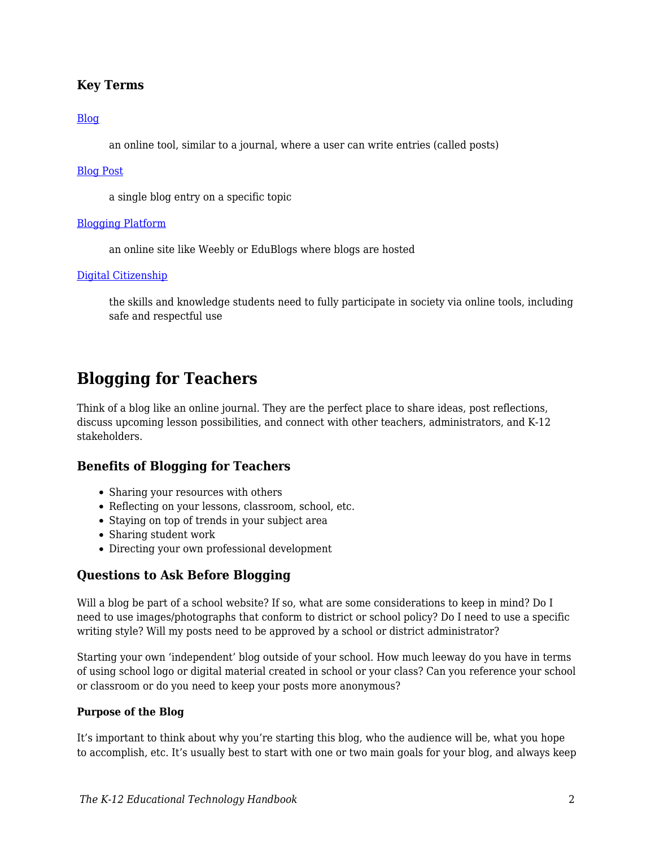## **Key Terms**

#### [Blog](https://edtechbooks.org/k12handbook/glossary#blog)

an online tool, similar to a journal, where a user can write entries (called posts)

#### [Blog Post](https://edtechbooks.org/k12handbook/glossary#blog_post)

a single blog entry on a specific topic

#### [Blogging Platform](https://edtechbooks.org/k12handbook/glossary#blogging_platform)

an online site like Weebly or EduBlogs where blogs are hosted

#### [Digital Citizenship](https://edtechbooks.org/k12handbook/glossary#digital_citizenship)

the skills and knowledge students need to fully participate in society via online tools, including safe and respectful use

# **Blogging for Teachers**

Think of a blog like an online journal. They are the perfect place to share ideas, post reflections, discuss upcoming lesson possibilities, and connect with other teachers, administrators, and K-12 stakeholders.

#### **Benefits of Blogging for Teachers**

- Sharing your resources with others
- Reflecting on your lessons, classroom, school, etc.
- Staying on top of trends in your subject area
- Sharing student work
- Directing your own professional development

## **Questions to Ask Before Blogging**

Will a blog be part of a school website? If so, what are some considerations to keep in mind? Do I need to use images/photographs that conform to district or school policy? Do I need to use a specific writing style? Will my posts need to be approved by a school or district administrator?

Starting your own 'independent' blog outside of your school. How much leeway do you have in terms of using school logo or digital material created in school or your class? Can you reference your school or classroom or do you need to keep your posts more anonymous?

#### **Purpose of the Blog**

It's important to think about why you're starting this blog, who the audience will be, what you hope to accomplish, etc. It's usually best to start with one or two main goals for your blog, and always keep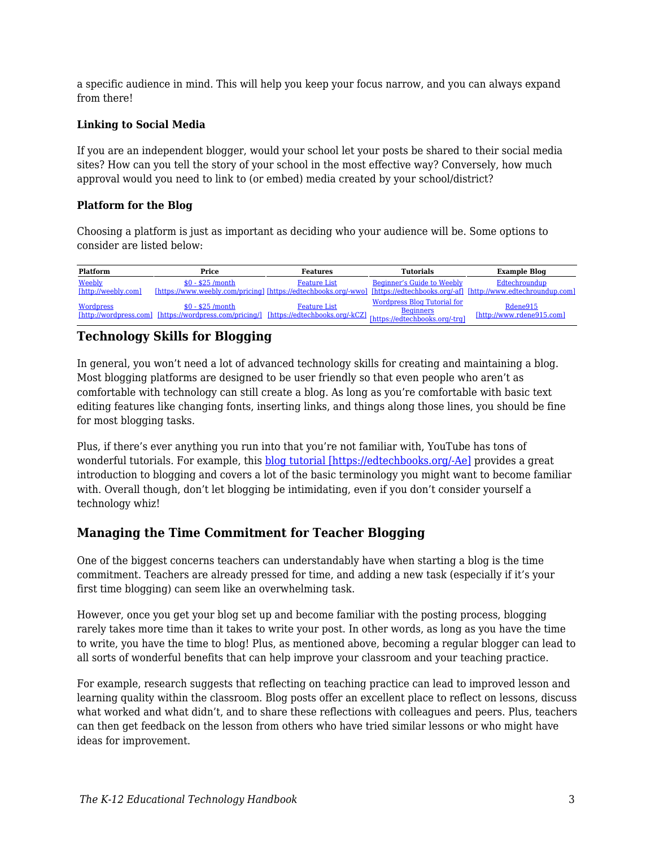a specific audience in mind. This will help you keep your focus narrow, and you can always expand from there!

#### **Linking to Social Media**

If you are an independent blogger, would your school let your posts be shared to their social media sites? How can you tell the story of your school in the most effective way? Conversely, how much approval would you need to link to (or embed) media created by your school/district?

#### **Platform for the Blog**

Choosing a platform is just as important as deciding who your audience will be. Some options to consider are listed below:

| Platform                      | Price                                                                                                                                                               | <b>Features</b>     | <b>Tutorials</b>                   | <b>Example Blog</b>                                                                                                                           |
|-------------------------------|---------------------------------------------------------------------------------------------------------------------------------------------------------------------|---------------------|------------------------------------|-----------------------------------------------------------------------------------------------------------------------------------------------|
| Weebly<br>[http://weebly.com] | $$0 - $25 / \text{month}$                                                                                                                                           | <b>Feature List</b> | <b>Beginner's Guide to Weebly</b>  | Edtechroundup<br>[https://www.weebly.com/pricing] [https://edtechbooks.org/-wwo] [https://edtechbooks.org/-af] [http://www.edtechroundup.com] |
| <b>Wordpress</b>              | $$0 - $25 / \text{month}$<br>Introduction of the three interventions (https://wordpress.com/pricing/] [https://edtechbooks.org/-kCZ] [https://edtechbooks.org/-trg] | <b>Feature List</b> | <b>Wordpress Blog Tutorial for</b> | Rdene915<br>[http://www.rdene915.com]                                                                                                         |

## **Technology Skills for Blogging**

In general, you won't need a lot of advanced technology skills for creating and maintaining a blog. Most blogging platforms are designed to be user friendly so that even people who aren't as comfortable with technology can still create a blog. As long as you're comfortable with basic text editing features like changing fonts, inserting links, and things along those lines, you should be fine for most blogging tasks.

Plus, if there's ever anything you run into that you're not familiar with, YouTube has tons of wonderful tutorials. For example, this [blog tutorial \[https://edtechbooks.org/-Ae\]](https://www.youtube.com/watch?v=NjwUHXoi8lM) provides a great introduction to blogging and covers a lot of the basic terminology you might want to become familiar with. Overall though, don't let blogging be intimidating, even if you don't consider yourself a technology whiz!

## **Managing the Time Commitment for Teacher Blogging**

One of the biggest concerns teachers can understandably have when starting a blog is the time commitment. Teachers are already pressed for time, and adding a new task (especially if it's your first time blogging) can seem like an overwhelming task.

However, once you get your blog set up and become familiar with the posting process, blogging rarely takes more time than it takes to write your post. In other words, as long as you have the time to write, you have the time to blog! Plus, as mentioned above, becoming a regular blogger can lead to all sorts of wonderful benefits that can help improve your classroom and your teaching practice.

For example, research suggests that reflecting on teaching practice can lead to improved lesson and learning quality within the classroom. Blog posts offer an excellent place to reflect on lessons, discuss what worked and what didn't, and to share these reflections with colleagues and peers. Plus, teachers can then get feedback on the lesson from others who have tried similar lessons or who might have ideas for improvement.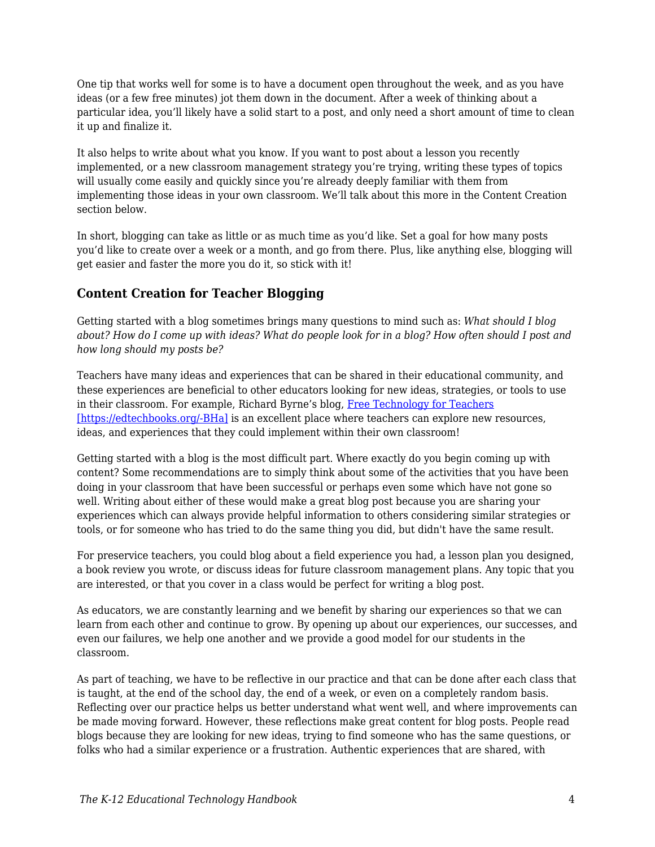One tip that works well for some is to have a document open throughout the week, and as you have ideas (or a few free minutes) jot them down in the document. After a week of thinking about a particular idea, you'll likely have a solid start to a post, and only need a short amount of time to clean it up and finalize it.

It also helps to write about what you know. If you want to post about a lesson you recently implemented, or a new classroom management strategy you're trying, writing these types of topics will usually come easily and quickly since you're already deeply familiar with them from implementing those ideas in your own classroom. We'll talk about this more in the Content Creation section below.

In short, blogging can take as little or as much time as you'd like. Set a goal for how many posts you'd like to create over a week or a month, and go from there. Plus, like anything else, blogging will get easier and faster the more you do it, so stick with it!

## **Content Creation for Teacher Blogging**

Getting started with a blog sometimes brings many questions to mind such as: *What should I blog about? How do I come up with ideas? What do people look for in a blog? How often should I post and how long should my posts be?*

Teachers have many ideas and experiences that can be shared in their educational community, and these experiences are beneficial to other educators looking for new ideas, strategies, or tools to use in their classroom. For example, Richard Byrne's blog, [Free Technology for Teachers](http://www.freetech4teachers.com/) [\[https://edtechbooks.org/-BHa\]](http://www.freetech4teachers.com/) is an excellent place where teachers can explore new resources, ideas, and experiences that they could implement within their own classroom!

Getting started with a blog is the most difficult part. Where exactly do you begin coming up with content? Some recommendations are to simply think about some of the activities that you have been doing in your classroom that have been successful or perhaps even some which have not gone so well. Writing about either of these would make a great blog post because you are sharing your experiences which can always provide helpful information to others considering similar strategies or tools, or for someone who has tried to do the same thing you did, but didn't have the same result.

For preservice teachers, you could blog about a field experience you had, a lesson plan you designed, a book review you wrote, or discuss ideas for future classroom management plans. Any topic that you are interested, or that you cover in a class would be perfect for writing a blog post.

As educators, we are constantly learning and we benefit by sharing our experiences so that we can learn from each other and continue to grow. By opening up about our experiences, our successes, and even our failures, we help one another and we provide a good model for our students in the classroom.

As part of teaching, we have to be reflective in our practice and that can be done after each class that is taught, at the end of the school day, the end of a week, or even on a completely random basis. Reflecting over our practice helps us better understand what went well, and where improvements can be made moving forward. However, these reflections make great content for blog posts. People read blogs because they are looking for new ideas, trying to find someone who has the same questions, or folks who had a similar experience or a frustration. Authentic experiences that are shared, with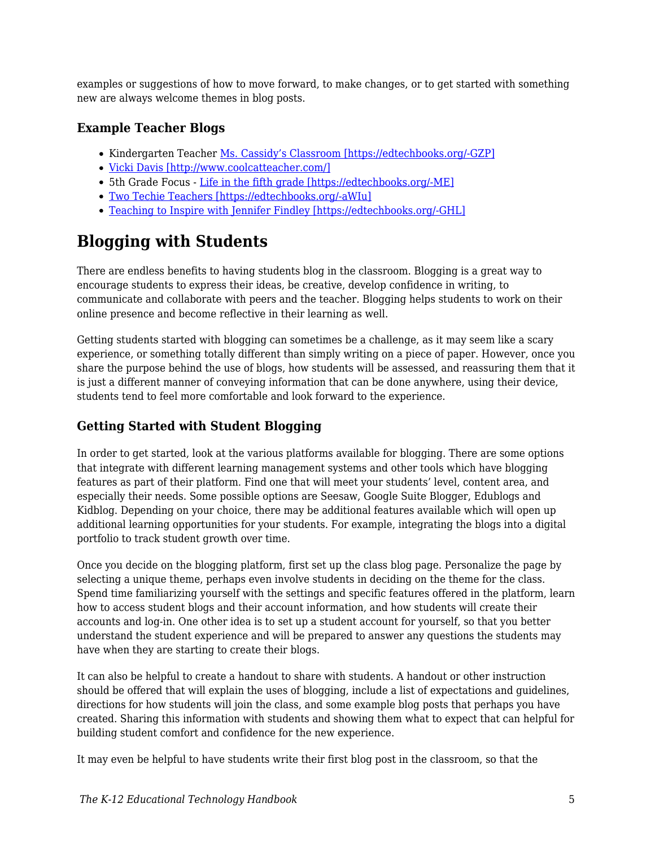examples or suggestions of how to move forward, to make changes, or to get started with something new are always welcome themes in blog posts.

## **Example Teacher Blogs**

- Kindergarten Teacher [Ms. Cassidy's Classroom \[https://edtechbooks.org/-GZP\]](http://mscassidysclass.edublogs.org/)
- [Vicki Davis \[http://www.coolcatteacher.com/\]](http://www.coolcatteacher.com/)
- 5th Grade Focus [Life in the fifth grade \[https://edtechbooks.org/-ME\]](http://www.lifeinfifthgrade.com/)
- [Two Techie Teachers \[https://edtechbooks.org/-aWIu\]](http://2techieteachers.blogspot.com/)
- [Teaching to Inspire with Jennifer Findley \[https://edtechbooks.org/-GHL\]](http://teachingtoinspire.com/blog)

# **Blogging with Students**

There are endless benefits to having students blog in the classroom. Blogging is a great way to encourage students to express their ideas, be creative, develop confidence in writing, to communicate and collaborate with peers and the teacher. Blogging helps students to work on their online presence and become reflective in their learning as well.

Getting students started with blogging can sometimes be a challenge, as it may seem like a scary experience, or something totally different than simply writing on a piece of paper. However, once you share the purpose behind the use of blogs, how students will be assessed, and reassuring them that it is just a different manner of conveying information that can be done anywhere, using their device, students tend to feel more comfortable and look forward to the experience.

## **Getting Started with Student Blogging**

In order to get started, look at the various platforms available for blogging. There are some options that integrate with different learning management systems and other tools which have blogging features as part of their platform. Find one that will meet your students' level, content area, and especially their needs. Some possible options are Seesaw, Google Suite Blogger, Edublogs and Kidblog. Depending on your choice, there may be additional features available which will open up additional learning opportunities for your students. For example, integrating the blogs into a digital portfolio to track student growth over time.

Once you decide on the blogging platform, first set up the class blog page. Personalize the page by selecting a unique theme, perhaps even involve students in deciding on the theme for the class. Spend time familiarizing yourself with the settings and specific features offered in the platform, learn how to access student blogs and their account information, and how students will create their accounts and log-in. One other idea is to set up a student account for yourself, so that you better understand the student experience and will be prepared to answer any questions the students may have when they are starting to create their blogs.

It can also be helpful to create a handout to share with students. A handout or other instruction should be offered that will explain the uses of blogging, include a list of expectations and guidelines, directions for how students will join the class, and some example blog posts that perhaps you have created. Sharing this information with students and showing them what to expect that can helpful for building student comfort and confidence for the new experience.

It may even be helpful to have students write their first blog post in the classroom, so that the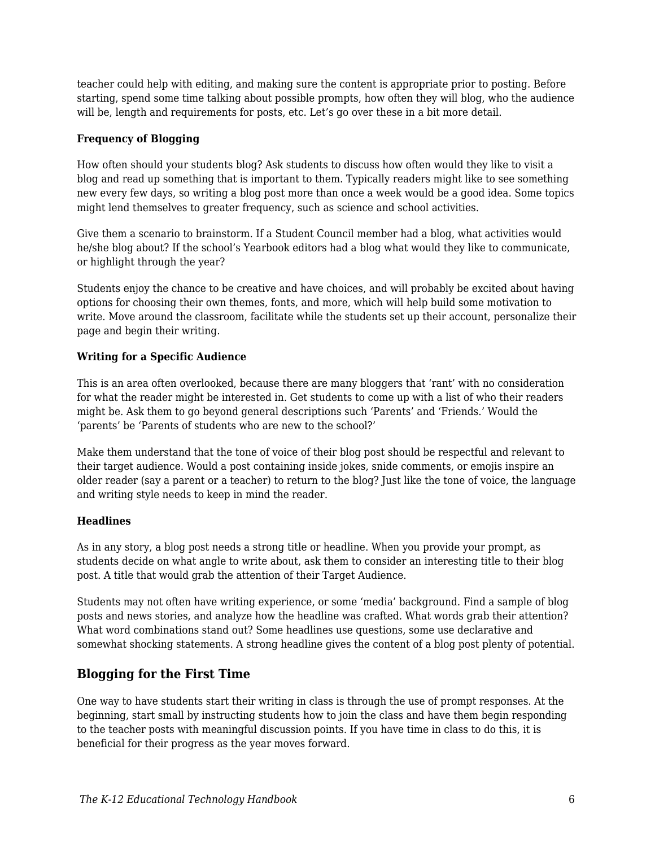teacher could help with editing, and making sure the content is appropriate prior to posting. Before starting, spend some time talking about possible prompts, how often they will blog, who the audience will be, length and requirements for posts, etc. Let's go over these in a bit more detail.

#### **Frequency of Blogging**

How often should your students blog? Ask students to discuss how often would they like to visit a blog and read up something that is important to them. Typically readers might like to see something new every few days, so writing a blog post more than once a week would be a good idea. Some topics might lend themselves to greater frequency, such as science and school activities.

Give them a scenario to brainstorm. If a Student Council member had a blog, what activities would he/she blog about? If the school's Yearbook editors had a blog what would they like to communicate, or highlight through the year?

Students enjoy the chance to be creative and have choices, and will probably be excited about having options for choosing their own themes, fonts, and more, which will help build some motivation to write. Move around the classroom, facilitate while the students set up their account, personalize their page and begin their writing.

#### **Writing for a Specific Audience**

This is an area often overlooked, because there are many bloggers that 'rant' with no consideration for what the reader might be interested in. Get students to come up with a list of who their readers might be. Ask them to go beyond general descriptions such 'Parents' and 'Friends.' Would the 'parents' be 'Parents of students who are new to the school?'

Make them understand that the tone of voice of their blog post should be respectful and relevant to their target audience. Would a post containing inside jokes, snide comments, or emojis inspire an older reader (say a parent or a teacher) to return to the blog? Just like the tone of voice, the language and writing style needs to keep in mind the reader.

#### **Headlines**

As in any story, a blog post needs a strong title or headline. When you provide your prompt, as students decide on what angle to write about, ask them to consider an interesting title to their blog post. A title that would grab the attention of their Target Audience.

Students may not often have writing experience, or some 'media' background. Find a sample of blog posts and news stories, and analyze how the headline was crafted. What words grab their attention? What word combinations stand out? Some headlines use questions, some use declarative and somewhat shocking statements. A strong headline gives the content of a blog post plenty of potential.

## **Blogging for the First Time**

One way to have students start their writing in class is through the use of prompt responses. At the beginning, start small by instructing students how to join the class and have them begin responding to the teacher posts with meaningful discussion points. If you have time in class to do this, it is beneficial for their progress as the year moves forward.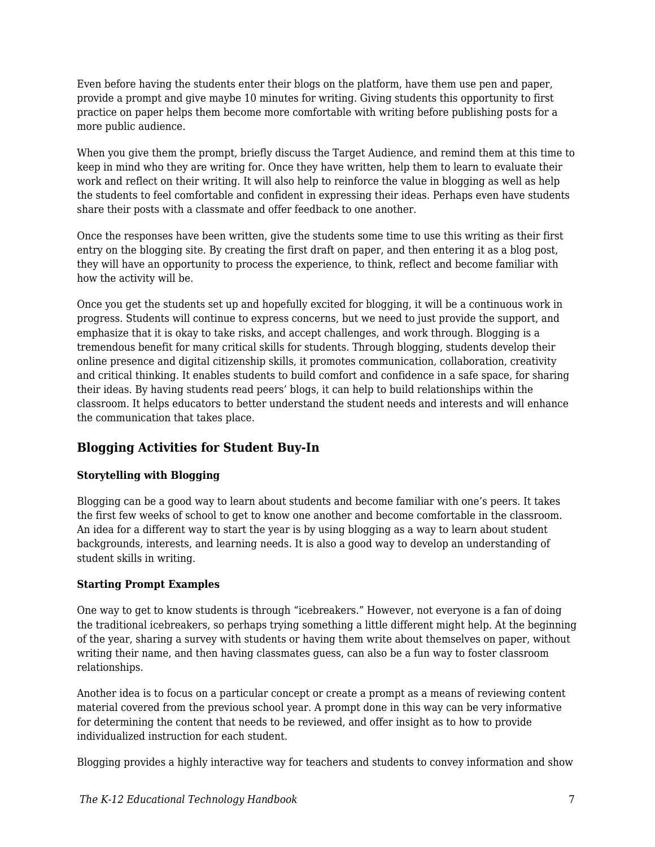Even before having the students enter their blogs on the platform, have them use pen and paper, provide a prompt and give maybe 10 minutes for writing. Giving students this opportunity to first practice on paper helps them become more comfortable with writing before publishing posts for a more public audience.

When you give them the prompt, briefly discuss the Target Audience, and remind them at this time to keep in mind who they are writing for. Once they have written, help them to learn to evaluate their work and reflect on their writing. It will also help to reinforce the value in blogging as well as help the students to feel comfortable and confident in expressing their ideas. Perhaps even have students share their posts with a classmate and offer feedback to one another.

Once the responses have been written, give the students some time to use this writing as their first entry on the blogging site. By creating the first draft on paper, and then entering it as a blog post, they will have an opportunity to process the experience, to think, reflect and become familiar with how the activity will be.

Once you get the students set up and hopefully excited for blogging, it will be a continuous work in progress. Students will continue to express concerns, but we need to just provide the support, and emphasize that it is okay to take risks, and accept challenges, and work through. Blogging is a tremendous benefit for many critical skills for students. Through blogging, students develop their online presence and digital citizenship skills, it promotes communication, collaboration, creativity and critical thinking. It enables students to build comfort and confidence in a safe space, for sharing their ideas. By having students read peers' blogs, it can help to build relationships within the classroom. It helps educators to better understand the student needs and interests and will enhance the communication that takes place.

## **Blogging Activities for Student Buy-In**

#### **Storytelling with Blogging**

Blogging can be a good way to learn about students and become familiar with one's peers. It takes the first few weeks of school to get to know one another and become comfortable in the classroom. An idea for a different way to start the year is by using blogging as a way to learn about student backgrounds, interests, and learning needs. It is also a good way to develop an understanding of student skills in writing.

#### **Starting Prompt Examples**

One way to get to know students is through "icebreakers." However, not everyone is a fan of doing the traditional icebreakers, so perhaps trying something a little different might help. At the beginning of the year, sharing a survey with students or having them write about themselves on paper, without writing their name, and then having classmates guess, can also be a fun way to foster classroom relationships.

Another idea is to focus on a particular concept or create a prompt as a means of reviewing content material covered from the previous school year. A prompt done in this way can be very informative for determining the content that needs to be reviewed, and offer insight as to how to provide individualized instruction for each student.

Blogging provides a highly interactive way for teachers and students to convey information and show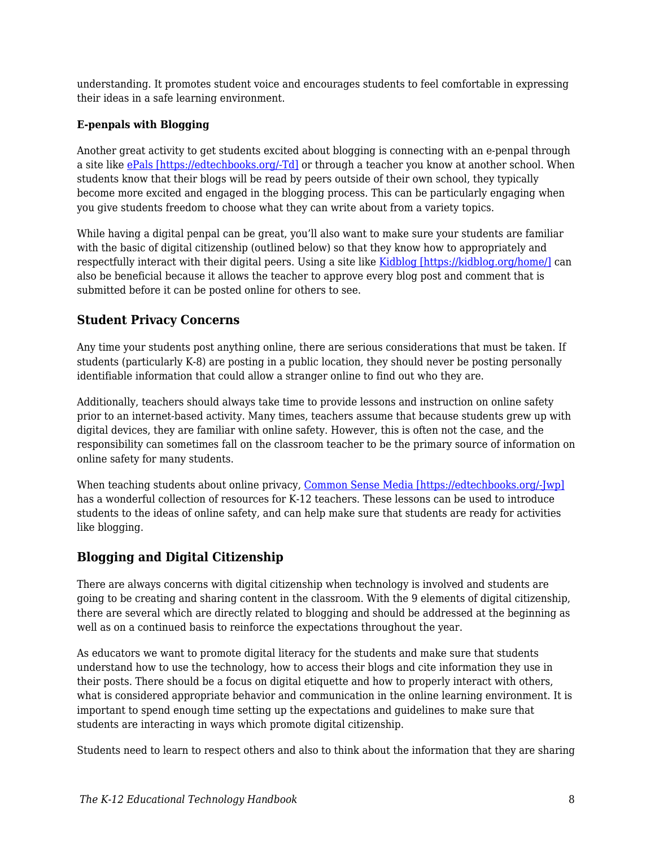understanding. It promotes student voice and encourages students to feel comfortable in expressing their ideas in a safe learning environment.

#### **E-penpals with Blogging**

Another great activity to get students excited about blogging is connecting with an e-penpal through a site like [ePals \[https://edtechbooks.org/-Td\]](https://www.epals.com/#/connections) or through a teacher you know at another school. When students know that their blogs will be read by peers outside of their own school, they typically become more excited and engaged in the blogging process. This can be particularly engaging when you give students freedom to choose what they can write about from a variety topics.

While having a digital penpal can be great, you'll also want to make sure your students are familiar with the basic of digital citizenship (outlined below) so that they know how to appropriately and respectfully interact with their digital peers. Using a site like [Kidblog \[https://kidblog.org/home/\]](https://kidblog.org/home/) can also be beneficial because it allows the teacher to approve every blog post and comment that is submitted before it can be posted online for others to see.

## **Student Privacy Concerns**

Any time your students post anything online, there are serious considerations that must be taken. If students (particularly K-8) are posting in a public location, they should never be posting personally identifiable information that could allow a stranger online to find out who they are.

Additionally, teachers should always take time to provide lessons and instruction on online safety prior to an internet-based activity. Many times, teachers assume that because students grew up with digital devices, they are familiar with online safety. However, this is often not the case, and the responsibility can sometimes fall on the classroom teacher to be the primary source of information on online safety for many students.

When teaching students about online privacy, [Common Sense Media \[https://edtechbooks.org/-Jwp\]](https://www.commonsense.org/education/digital-citizenship/privacy-and-security) has a wonderful collection of resources for K-12 teachers. These lessons can be used to introduce students to the ideas of online safety, and can help make sure that students are ready for activities like blogging.

## **Blogging and Digital Citizenship**

There are always concerns with digital citizenship when technology is involved and students are going to be creating and sharing content in the classroom. With the 9 elements of digital citizenship, there are several which are directly related to blogging and should be addressed at the beginning as well as on a continued basis to reinforce the expectations throughout the year.

As educators we want to promote digital literacy for the students and make sure that students understand how to use the technology, how to access their blogs and cite information they use in their posts. There should be a focus on digital etiquette and how to properly interact with others, what is considered appropriate behavior and communication in the online learning environment. It is important to spend enough time setting up the expectations and guidelines to make sure that students are interacting in ways which promote digital citizenship.

Students need to learn to respect others and also to think about the information that they are sharing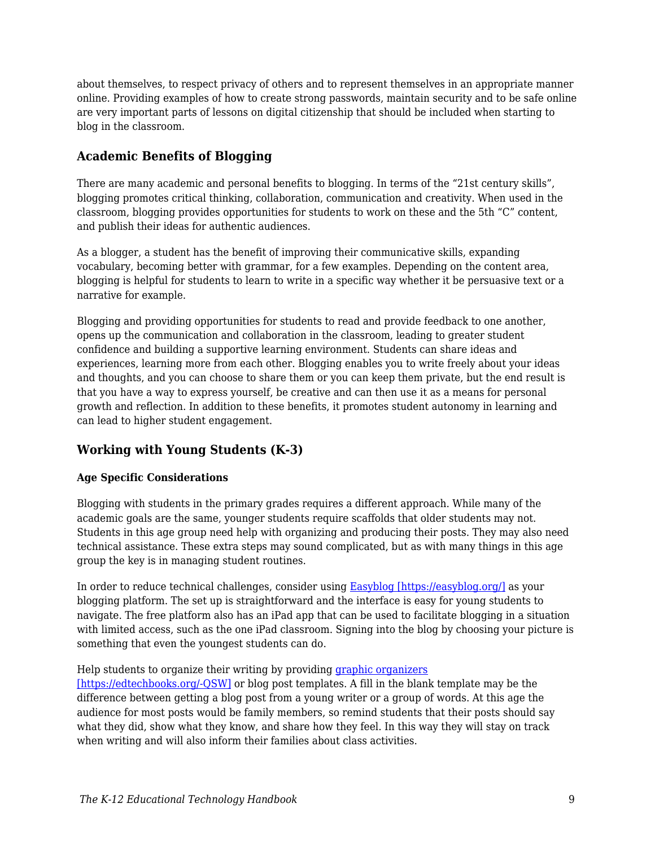about themselves, to respect privacy of others and to represent themselves in an appropriate manner online. Providing examples of how to create strong passwords, maintain security and to be safe online are very important parts of lessons on digital citizenship that should be included when starting to blog in the classroom.

## **Academic Benefits of Blogging**

There are many academic and personal benefits to blogging. In terms of the "21st century skills", blogging promotes critical thinking, collaboration, communication and creativity. When used in the classroom, blogging provides opportunities for students to work on these and the 5th "C" content, and publish their ideas for authentic audiences.

As a blogger, a student has the benefit of improving their communicative skills, expanding vocabulary, becoming better with grammar, for a few examples. Depending on the content area, blogging is helpful for students to learn to write in a specific way whether it be persuasive text or a narrative for example.

Blogging and providing opportunities for students to read and provide feedback to one another, opens up the communication and collaboration in the classroom, leading to greater student confidence and building a supportive learning environment. Students can share ideas and experiences, learning more from each other. Blogging enables you to write freely about your ideas and thoughts, and you can choose to share them or you can keep them private, but the end result is that you have a way to express yourself, be creative and can then use it as a means for personal growth and reflection. In addition to these benefits, it promotes student autonomy in learning and can lead to higher student engagement.

## **Working with Young Students (K-3)**

#### **Age Specific Considerations**

Blogging with students in the primary grades requires a different approach. While many of the academic goals are the same, younger students require scaffolds that older students may not. Students in this age group need help with organizing and producing their posts. They may also need technical assistance. These extra steps may sound complicated, but as with many things in this age group the key is in managing student routines.

In order to reduce technical challenges, consider using [Easyblog \[https://easyblog.org/\]](https://easyblog.org/) as your blogging platform. The set up is straightforward and the interface is easy for young students to navigate. The free platform also has an iPad app that can be used to facilitate blogging in a situation with limited access, such as the one iPad classroom. Signing into the blog by choosing your picture is something that even the youngest students can do.

#### Help students to organize their writing by providing *[graphic organizers](https://www.eduplace.com/kids/hme/k_5/graphorg/)*

[\[https://edtechbooks.org/-QSW\]](https://www.eduplace.com/kids/hme/k_5/graphorg/) or blog post templates. A fill in the blank template may be the difference between getting a blog post from a young writer or a group of words. At this age the audience for most posts would be family members, so remind students that their posts should say what they did, show what they know, and share how they feel. In this way they will stay on track when writing and will also inform their families about class activities.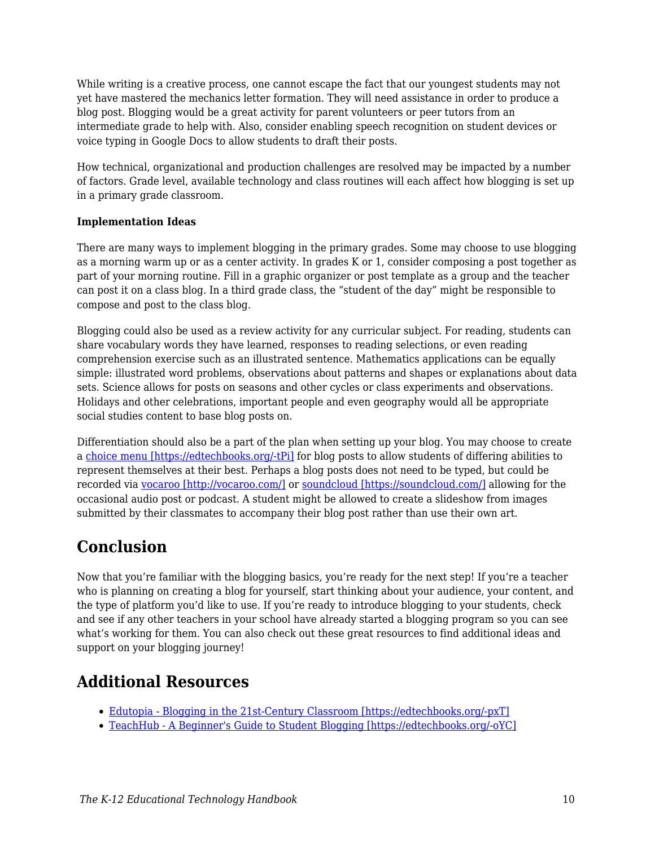While writing is a creative process, one cannot escape the fact that our youngest students may not yet have mastered the mechanics letter formation. They will need assistance in order to produce a blog post. Blogging would be a great activity for parent volunteers or peer tutors from an intermediate grade to help with. Also, consider enabling speech recognition on student devices or voice typing in Google Docs to allow students to draft their posts.

How technical, organizational and production challenges are resolved may be impacted by a number of factors. Grade level, available technology and class routines will each affect how blogging is set up in a primary grade classroom.

#### **Implementation Ideas**

There are many ways to implement blogging in the primary grades. Some may choose to use blogging as a morning warm up or as a center activity. In grades K or 1, consider composing a post together as part of your morning routine. Fill in a graphic organizer or post template as a group and the teacher can post it on a class blog. In a third grade class, the "student of the day" might be responsible to compose and post to the class blog.

Blogging could also be used as a review activity for any curricular subject. For reading, students can share vocabulary words they have learned, responses to reading selections, or even reading comprehension exercise such as an illustrated sentence. Mathematics applications can be equally simple: illustrated word problems, observations about patterns and shapes or explanations about data sets. Science allows for posts on seasons and other cycles or class experiments and observations. Holidays and other celebrations, important people and even geography would all be appropriate social studies content to base blog posts on.

Differentiation should also be a part of the plan when setting up your blog. You may choose to create a [choice menu \[https://edtechbooks.org/-tPi\]](https://daretodifferentiate.wikispaces.com/Choice+Boards) for blog posts to allow students of differing abilities to represent themselves at their best. Perhaps a blog posts does not need to be typed, but could be recorded via [vocaroo \[http://vocaroo.com/\]](http://vocaroo.com/) or [soundcloud \[https://soundcloud.com/\]](https://soundcloud.com/) allowing for the occasional audio post or podcast. A student might be allowed to create a slideshow from images submitted by their classmates to accompany their blog post rather than use their own art.

# **Conclusion**

Now that you're familiar with the blogging basics, you're ready for the next step! If you're a teacher who is planning on creating a blog for yourself, start thinking about your audience, your content, and the type of platform you'd like to use. If you're ready to introduce blogging to your students, check and see if any other teachers in your school have already started a blogging program so you can see what's working for them. You can also check out these great resources to find additional ideas and support on your blogging journey!

# **Additional Resources**

- [Edutopia Blogging in the 21st-Century Classroom \[https://edtechbooks.org/-pxT\]](https://www.edutopia.org/blog/blogging-in-21st-century-classroom-michelle-lampinen)
- [TeachHub A Beginner's Guide to Student Blogging \[https://edtechbooks.org/-oYC\]](http://www.teachhub.com/beginners-guide-student-blogging)